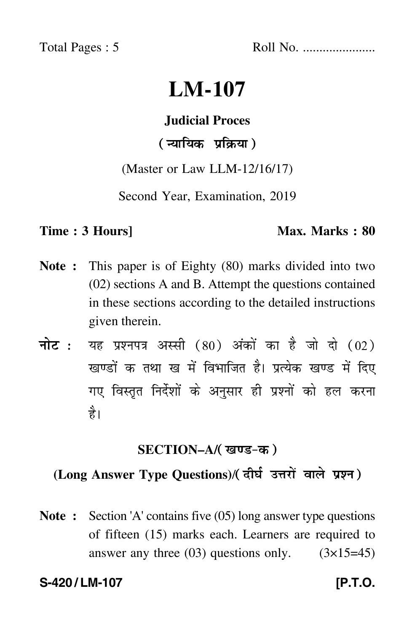Total Pages : 5 Roll No. ......................

# **LM-107**

#### **Judicial Proces**

# ( न्यायिक प्रक्रिया )

(Master or Law LLM-12/16/17)

Second Year, Examination, 2019

#### **Time : 3 Hours]** Max. Marks : 80

- **Note :** This paper is of Eighty (80) marks divided into two (02) sections A and B. Attempt the questions contained in these sections according to the detailed instructions given therein.
- नोट : यह प्रश्नपत्र अस्सी (80) अंकों का है जो दो (02) खण्डों क तथा ख में विभाजित है। प्रत्येक खण्ड में दिए गए विस्तृत निर्देशों के अनुसार ही प्रश्नों को हल करन<mark>ा</mark> है।

#### **SECTION–A/**

### **(Long Answer Type Questions)**/

**Note :** Section 'A' contains five (05) long answer type questions of fifteen (15) marks each. Learners are required to answer any three  $(03)$  questions only.  $(3\times15=45)$ 

#### **S-420 / LM-107 [P.T.O.**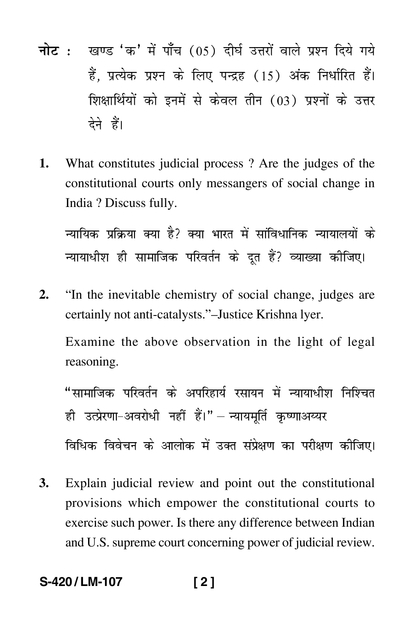- <mark>नोट</mark> : खण्ड 'क' में पाँच (05) दीर्घ उत्तरों वाले प्रश्न दिये गये हैं, प्रत्येक प्रश्न के लिए पन्द्रह (15) अंक निर्धारित हैं। शिक्षार्थियों को इनमें से केवल तीन (03) प्रश्नों के उत्तर देने हैं।
- **1.** What constitutes judicial process ? Are the judges of the constitutional courts only messangers of social change in India ? Discuss fully.

न्यायिक प्रक्रिया क्या है? क्या भारत में सांविधानिक न्यायालयों के न्यायाधीश ही सामाजिक परिवर्तन के दूत हैं? व्याख्या कीजिए।

**2.** "In the inevitable chemistry of social change, judges are certainly not anti-catalysts."–Justice Krishna lyer.

Examine the above observation in the light of legal reasoning.

"सामाजिक परिवर्तन के अपरिहार्य रसायन में न्यायाधीश निश्चित ही उत्प्रेरणा–अवरोधी नहीं हैं।"— न्यायमूर्ति कृष्णाअय्यर

विधिक विवेचन के आलोक में उक्त संप्रेक्षण का परीक्षण कीजिए।

**3.** Explain judicial review and point out the constitutional provisions which empower the constitutional courts to exercise such power. Is there any difference between Indian and U.S. supreme court concerning power of judicial review.

# **S-420 / LM-107 [ 2 ]**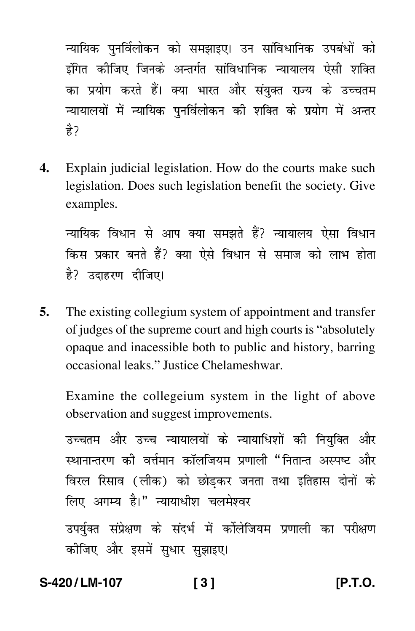न्यायिक पुनर्विलोकन को समझाइए। उन सांविधानिक उपबंधों को इंगित कीजिए जिनके अन्तर्गत सांविधानिक न्यायालय ऐसी शक्ति का प्रयोग करते हैं। क्या भारत और संयुक्त राज्य के उच्चतम न्यायालयों में न्यायिक पुनर्विलोकन की शक्ति के प्रयोग में अन्तर हे?

4. Explain judicial legislation. How do the courts make such legislation. Does such legislation benefit the society. Give examples.

न्यायिक विधान से आप क्या समझते हैं? न्यायालय ऐसा विधान किस प्रकार बनते हैं? क्या ऐसे विधान से समाज को लाभ होता है? उदाहरण दीजिए।

5. The existing collegium system of appointment and transfer of judges of the supreme court and high courts is "absolutely" opaque and inacessible both to public and history, barring occasional leaks." Justice Chelameshwar.

Examine the collegeium system in the light of above observation and suggest improvements.

उच्चतम और उच्च न्यायालयों के न्यायाधिशों की नियुक्ति और स्थानान्तरण की वर्त्तमान कॉलजियम प्रणाली "नितान्त अस्पष्ट और विरल रिसाव (लीक) को छोडकर जनता तथा इतिहास दोनों के लिए अगम्य है।" न्यायाधीश चलमेश्वर

उपर्युक्त संप्रेक्षण के संदर्भ में कोलेजियम प्रणाली का परीक्षण कीजिए और इसमें सुधार सुझाइए।

#### S-420/1 M-107

IP.T.O.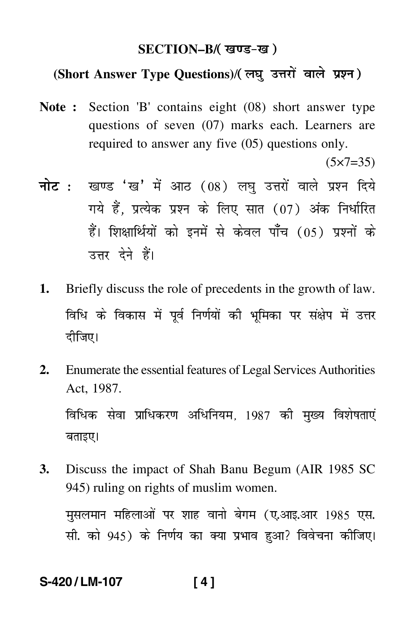#### **SECTION–B/**

# **(Short Answer Type Questions)**/

**Note :** Section 'B' contains eight (08) short answer type questions of seven (07) marks each. Learners are required to answer any five (05) questions only.  $(5 \times 7 = 35)$ 

<mark>नोट</mark> : खण्ड 'ख' में आठ (08) लघु उत्तरों वाले प्रश्न दिये गये हैं, प्रत्येक प्रश्न के लिए सात (07) अंक निर्धारित हैं। शिक्षार्थियों को इनमें से केवल पाँच (05) प्रश्नों के उत्तर देने हैं।

- **1.** Briefly discuss the role of precedents in the growth of law. विधि के विकास में पूर्व निर्णयों की भूमिका पर संक्षेप में उत्तर दीजिए।
- **2.** Enumerate the essential features of Legal Services Authorities Act, 1987. विधिक सेवा प्राधिकरण अधिनियम, 1987 की मुख्य विशेषताएं बताइए।
- **3.** Discuss the impact of Shah Banu Begum (AIR 1985 SC 945) ruling on rights of muslim women.

मसलमान महिलाओं पर शाह वानो बेगम (ए.आइ.आर 1985 एस. सी. को 945) के निर्णय का क्या प्रभाव हुआ? विवेचना कीजिए।

**S-420 / LM-107 [ 4 ]**